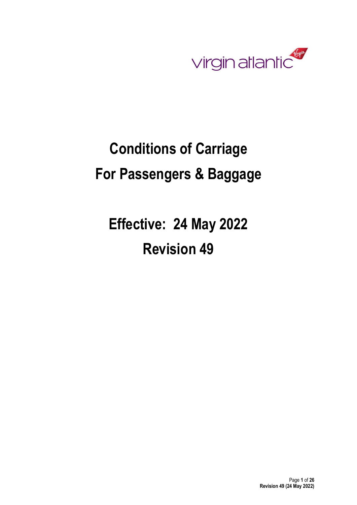

# Conditions of Carriage For Passengers & Baggage

Effective: 24 May 2022 Revision 49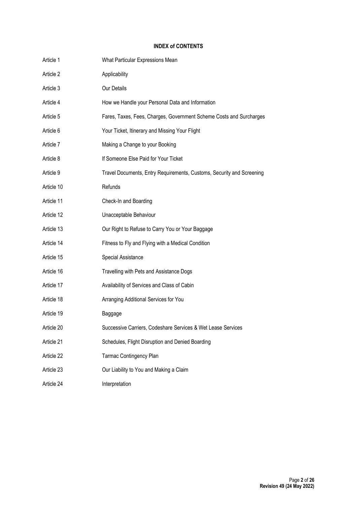# INDEX of CONTENTS

| Article 1  | What Particular Expressions Mean                                      |
|------------|-----------------------------------------------------------------------|
| Article 2  | Applicability                                                         |
| Article 3  | Our Details                                                           |
| Article 4  | How we Handle your Personal Data and Information                      |
| Article 5  | Fares, Taxes, Fees, Charges, Government Scheme Costs and Surcharges   |
| Article 6  | Your Ticket, Itinerary and Missing Your Flight                        |
| Article 7  | Making a Change to your Booking                                       |
| Article 8  | If Someone Else Paid for Your Ticket                                  |
| Article 9  | Travel Documents, Entry Requirements, Customs, Security and Screening |
| Article 10 | Refunds                                                               |
| Article 11 | Check-In and Boarding                                                 |
| Article 12 | Unacceptable Behaviour                                                |
| Article 13 | Our Right to Refuse to Carry You or Your Baggage                      |
| Article 14 | Fitness to Fly and Flying with a Medical Condition                    |
| Article 15 | Special Assistance                                                    |
| Article 16 | Travelling with Pets and Assistance Dogs                              |
| Article 17 | Availability of Services and Class of Cabin                           |
| Article 18 | Arranging Additional Services for You                                 |
| Article 19 | Baggage                                                               |
| Article 20 | Successive Carriers, Codeshare Services & Wet Lease Services          |
| Article 21 | Schedules, Flight Disruption and Denied Boarding                      |
| Article 22 | <b>Tarmac Contingency Plan</b>                                        |
| Article 23 | Our Liability to You and Making a Claim                               |
| Article 24 | Interpretation                                                        |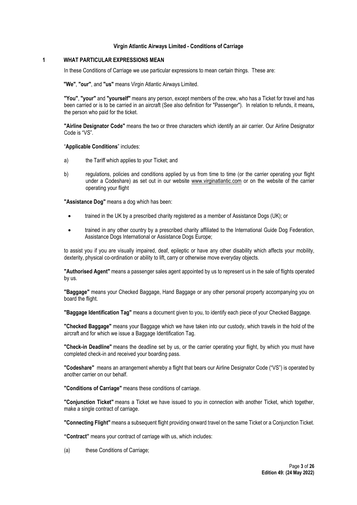#### Virgin Atlantic Airways Limited - Conditions of Carriage

#### 1 WHAT PARTICULAR EXPRESSIONS MEAN

In these Conditions of Carriage we use particular expressions to mean certain things. These are:

"We", "our", and "us" means Virgin Atlantic Airways Limited.

"You", "your" and "yourself" means any person, except members of the crew, who has a Ticket for travel and has been carried or is to be carried in an aircraft (See also definition for "Passenger"). In relation to refunds, it means, the person who paid for the ticket.

"Airline Designator Code" means the two or three characters which identify an air carrier. Our Airline Designator Code is "VS".

"Applicable Conditions" includes:

- a) the Tariff which applies to your Ticket; and
- b) regulations, policies and conditions applied by us from time to time (or the carrier operating your flight under a Codeshare) as set out in our website www.virginatlantic.com or on the website of the carrier operating your flight

"Assistance Dog" means a dog which has been:

- trained in the UK by a prescribed charity registered as a member of Assistance Dogs (UK); or
- trained in any other country by a prescribed charity affiliated to the International Guide Dog Federation, Assistance Dogs International or Assistance Dogs Europe;

to assist you if you are visually impaired, deaf, epileptic or have any other disability which affects your mobility, dexterity, physical co-ordination or ability to lift, carry or otherwise move everyday objects.

"Authorised Agent" means a passenger sales agent appointed by us to represent us in the sale of flights operated by us.

"Baggage" means your Checked Baggage, Hand Baggage or any other personal property accompanying you on board the flight.

"Baggage Identification Tag" means a document given to you, to identify each piece of your Checked Baggage.

"Checked Baggage" means your Baggage which we have taken into our custody, which travels in the hold of the aircraft and for which we issue a Baggage Identification Tag.

"Check-in Deadline" means the deadline set by us, or the carrier operating your flight, by which you must have completed check-in and received your boarding pass.

"Codeshare" means an arrangement whereby a flight that bears our Airline Designator Code ("VS") is operated by another carrier on our behalf.

"Conditions of Carriage" means these conditions of carriage.

"Conjunction Ticket" means a Ticket we have issued to you in connection with another Ticket, which together, make a single contract of carriage.

"Connecting Flight" means a subsequent flight providing onward travel on the same Ticket or a Conjunction Ticket.

"Contract" means your contract of carriage with us, which includes:

(a) these Conditions of Carriage;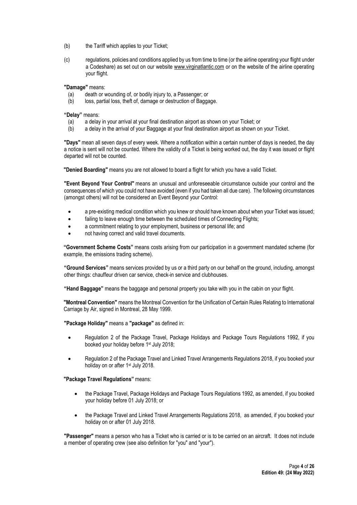- (b) the Tariff which applies to your Ticket;
- (c) regulations, policies and conditions applied by us from time to time (or the airline operating your flight under a Codeshare) as set out on our website www.virginatlantic.com or on the website of the airline operating your flight.

"Damage" means:

- (a) death or wounding of, or bodily injury to, a Passenger; or
- (b) loss, partial loss, theft of, damage or destruction of Baggage.

"Delay" means:

- (a) a delay in your arrival at your final destination airport as shown on your Ticket; or
- (b) a delay in the arrival of your Baggage at your final destination airport as shown on your Ticket.

"Days" mean all seven days of every week. Where a notification within a certain number of days is needed, the day a notice is sent will not be counted. Where the validity of a Ticket is being worked out, the day it was issued or flight departed will not be counted.

"Denied Boarding" means you are not allowed to board a flight for which you have a valid Ticket.

"Event Beyond Your Control" means an unusual and unforeseeable circumstance outside your control and the consequences of which you could not have avoided (even if you had taken all due care). The following circumstances (amongst others) will not be considered an Event Beyond your Control:

- a pre-existing medical condition which you knew or should have known about when your Ticket was issued;
- failing to leave enough time between the scheduled times of Connecting Flights;
- a commitment relating to your employment, business or personal life; and
- not having correct and valid travel documents.

"Government Scheme Costs" means costs arising from our participation in a government mandated scheme (for example, the emissions trading scheme).

"Ground Services" means services provided by us or a third party on our behalf on the ground, including, amongst other things: chauffeur driven car service, check-in service and clubhouses.

"Hand Baggage" means the baggage and personal property you take with you in the cabin on your flight.

"Montreal Convention" means the Montreal Convention for the Unification of Certain Rules Relating to International Carriage by Air, signed in Montreal, 28 May 1999.

"Package Holiday" means a "package" as defined in:

- Regulation 2 of the Package Travel, Package Holidays and Package Tours Regulations 1992, if you booked your holiday before 1st July 2018;
- Regulation 2 of the Package Travel and Linked Travel Arrangements Regulations 2018, if you booked your holiday on or after 1<sup>st</sup> July 2018.

#### "Package Travel Regulations" means:

- the Package Travel, Package Holidays and Package Tours Regulations 1992, as amended, if you booked your holiday before 01 July 2018; or
- the Package Travel and Linked Travel Arrangements Regulations 2018, as amended, if you booked your holiday on or after 01 July 2018.

"Passenger" means a person who has a Ticket who is carried or is to be carried on an aircraft. It does not include a member of operating crew (see also definition for "you" and "your").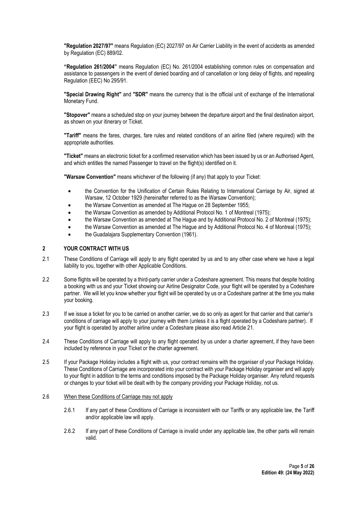"Regulation 2027/97" means Regulation (EC) 2027/97 on Air Carrier Liability in the event of accidents as amended by Regulation (EC) 889/02.

"Regulation 261/2004" means Regulation (EC) No. 261/2004 establishing common rules on compensation and assistance to passengers in the event of denied boarding and of cancellation or long delay of flights, and repealing Regulation (EEC) No 295/91.

"Special Drawing Right" and "SDR" means the currency that is the official unit of exchange of the International Monetary Fund.

"Stopover" means a scheduled stop on your journey between the departure airport and the final destination airport, as shown on your itinerary or Ticket.

"Tariff" means the fares, charges, fare rules and related conditions of an airline filed (where required) with the appropriate authorities.

"Ticket" means an electronic ticket for a confirmed reservation which has been issued by us or an Authorised Agent, and which entitles the named Passenger to travel on the flight(s) identified on it.

"Warsaw Convention" means whichever of the following (if any) that apply to your Ticket:

- the Convention for the Unification of Certain Rules Relating to International Carriage by Air, signed at Warsaw, 12 October 1929 (hereinafter referred to as the Warsaw Convention);
- the Warsaw Convention as amended at The Hague on 28 September 1955;
- the Warsaw Convention as amended by Additional Protocol No. 1 of Montreal (1975);
- the Warsaw Convention as amended at The Hague and by Additional Protocol No. 2 of Montreal (1975);
- the Warsaw Convention as amended at The Hague and by Additional Protocol No. 4 of Montreal (1975);
- the Guadalajara Supplementary Convention (1961).

#### 2 YOUR CONTRACT WITH US

- 2.1 These Conditions of Carriage will apply to any flight operated by us and to any other case where we have a legal liability to you, together with other Applicable Conditions.
- 2.2 Some flights will be operated by a third-party carrier under a Codeshare agreement. This means that despite holding a booking with us and your Ticket showing our Airline Designator Code, your flight will be operated by a Codeshare partner. We will let you know whether your flight will be operated by us or a Codeshare partner at the time you make your booking.
- 2.3 If we issue a ticket for you to be carried on another carrier, we do so only as agent for that carrier and that carrier's conditions of carriage will apply to your journey with them (unless it is a flight operated by a Codeshare partner). If your flight is operated by another airline under a Codeshare please also read Article 21.
- 2.4 These Conditions of Carriage will apply to any flight operated by us under a charter agreement, if they have been included by reference in your Ticket or the charter agreement.
- 2.5 If your Package Holiday includes a flight with us, your contract remains with the organiser of your Package Holiday. These Conditions of Carriage are incorporated into your contract with your Package Holiday organiser and will apply to your flight in addition to the terms and conditions imposed by the Package Holiday organiser. Any refund requests or changes to your ticket will be dealt with by the company providing your Package Holiday, not us.

# 2.6 When these Conditions of Carriage may not apply

- 2.6.1 If any part of these Conditions of Carriage is inconsistent with our Tariffs or any applicable law, the Tariff and/or applicable law will apply.
- 2.6.2 If any part of these Conditions of Carriage is invalid under any applicable law, the other parts will remain valid.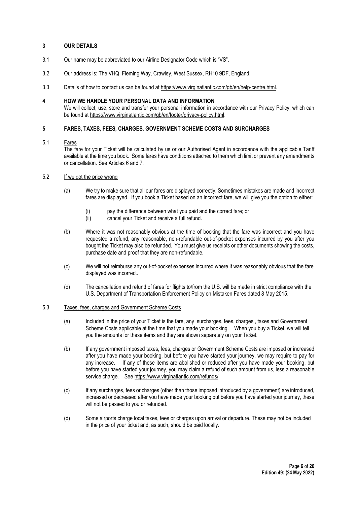## 3 OUR DETAILS

- 3.1 Our name may be abbreviated to our Airline Designator Code which is "VS".
- 3.2 Our address is: The VHQ, Fleming Way, Crawley, West Sussex, RH10 9DF, England.
- 3.3 Details of how to contact us can be found at https://www.virginatlantic.com/gb/en/help-centre.html.

## 4 HOW WE HANDLE YOUR PERSONAL DATA AND INFORMATION

We will collect, use, store and transfer your personal information in accordance with our Privacy Policy, which can be found at https://www.virginatlantic.com/gb/en/footer/privacy-policy.html.

# 5 FARES, TAXES, FEES, CHARGES, GOVERNMENT SCHEME COSTS AND SURCHARGES

# 5.1 Fares

The fare for your Ticket will be calculated by us or our Authorised Agent in accordance with the applicable Tariff available at the time you book. Some fares have conditions attached to them which limit or prevent any amendments or cancellation. See Articles 6 and 7.

#### 5.2 If we got the price wrong

- (a) We try to make sure that all our fares are displayed correctly. Sometimes mistakes are made and incorrect fares are displayed. If you book a Ticket based on an incorrect fare, we will give you the option to either:
	- (i) pay the difference between what you paid and the correct fare; or
	- (ii) cancel your Ticket and receive a full refund.
- (b) Where it was not reasonably obvious at the time of booking that the fare was incorrect and you have requested a refund, any reasonable, non-refundable out-of-pocket expenses incurred by you after you bought the Ticket may also be refunded. You must give us receipts or other documents showing the costs, purchase date and proof that they are non-refundable.
- (c) We will not reimburse any out-of-pocket expenses incurred where it was reasonably obvious that the fare displayed was incorrect.
- (d) The cancellation and refund of fares for flights to/from the U.S. will be made in strict compliance with the U.S. Department of Transportation Enforcement Policy on Mistaken Fares dated 8 May 2015.

#### 5.3 Taxes, fees, charges and Government Scheme Costs

- (a) Included in the price of your Ticket is the fare, any surcharges, fees, charges , taxes and Government Scheme Costs applicable at the time that you made your booking. When you buy a Ticket, we will tell you the amounts for these items and they are shown separately on your Ticket.
- (b) If any government imposed taxes, fees, charges or Government Scheme Costs are imposed or increased after you have made your booking, but before you have started your journey, we may require to pay for any increase. If any of these items are abolished or reduced after you have made your booking, but before you have started your journey, you may claim a refund of such amount from us, less a reasonable service charge. See https://www.virginatlantic.com/refunds/.
- (c) If any surcharges, fees or charges (other than those imposed introduced by a government) are introduced, increased or decreased after you have made your booking but before you have started your journey, these will not be passed to you or refunded.
- (d) Some airports charge local taxes, fees or charges upon arrival or departure. These may not be included in the price of your ticket and, as such, should be paid locally.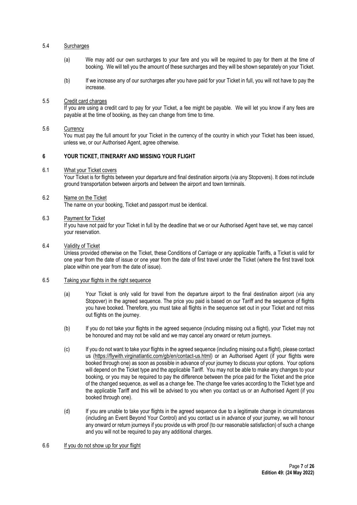# 5.4 Surcharges

- (a) We may add our own surcharges to your fare and you will be required to pay for them at the time of booking. We will tell you the amount of these surcharges and they will be shown separately on your Ticket.
- (b) If we increase any of our surcharges after you have paid for your Ticket in full, you will not have to pay the increase.

#### 5.5 Credit card charges

If you are using a credit card to pay for your Ticket, a fee might be payable. We will let you know if any fees are payable at the time of booking, as they can change from time to time.

## 5.6 Currency

You must pay the full amount for your Ticket in the currency of the country in which your Ticket has been issued, unless we, or our Authorised Agent, agree otherwise.

# 6 YOUR TICKET, ITINERARY AND MISSING YOUR FLIGHT

6.1 What your Ticket covers

Your Ticket is for flights between your departure and final destination airports (via any Stopovers). It does not include ground transportation between airports and between the airport and town terminals.

#### 6.2 Name on the Ticket

The name on your booking, Ticket and passport must be identical.

#### 6.3 Payment for Ticket

If you have not paid for your Ticket in full by the deadline that we or our Authorised Agent have set, we may cancel your reservation.

## 6.4 Validity of Ticket

Unless provided otherwise on the Ticket, these Conditions of Carriage or any applicable Tariffs, a Ticket is valid for one year from the date of issue or one year from the date of first travel under the Ticket (where the first travel took place within one year from the date of issue).

## 6.5 Taking your flights in the right sequence

- (a) Your Ticket is only valid for travel from the departure airport to the final destination airport (via any Stopover) in the agreed sequence. The price you paid is based on our Tariff and the sequence of flights you have booked. Therefore, you must take all flights in the sequence set out in your Ticket and not miss out flights on the journey.
- (b) If you do not take your flights in the agreed sequence (including missing out a flight), your Ticket may not be honoured and may not be valid and we may cancel any onward or return journeys.
- (c) If you do not want to take your flights in the agreed sequence (including missing out a flight), please contact us (https://flywith.virginatlantic.com/gb/en/contact-us.html) or an Authorised Agent (if your flights were booked through one) as soon as possible in advance of your journey to discuss your options. Your options will depend on the Ticket type and the applicable Tariff. You may not be able to make any changes to your booking, or you may be required to pay the difference between the price paid for the Ticket and the price of the changed sequence, as well as a change fee. The change fee varies according to the Ticket type and the applicable Tariff and this will be advised to you when you contact us or an Authorised Agent (if you booked through one).
- (d) If you are unable to take your flights in the agreed sequence due to a legitimate change in circumstances (including an Event Beyond Your Control) and you contact us in advance of your journey, we will honour any onward or return journeys if you provide us with proof (to our reasonable satisfaction) of such a change and you will not be required to pay any additional charges.

# 6.6 If you do not show up for your flight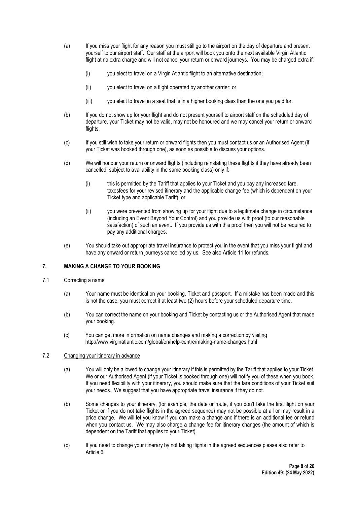- (a) If you miss your flight for any reason you must still go to the airport on the day of departure and present yourself to our airport staff. Our staff at the airport will book you onto the next available Virgin Atlantic flight at no extra charge and will not cancel your return or onward journeys. You may be charged extra if:
	- (i) you elect to travel on a Virgin Atlantic flight to an alternative destination;
	- (ii) you elect to travel on a flight operated by another carrier; or
	- (iii) you elect to travel in a seat that is in a higher booking class than the one you paid for.
- (b) If you do not show up for your flight and do not present yourself to airport staff on the scheduled day of departure, your Ticket may not be valid, may not be honoured and we may cancel your return or onward flights.
- (c) If you still wish to take your return or onward flights then you must contact us or an Authorised Agent (if your Ticket was booked through one), as soon as possible to discuss your options.
- (d) We will honour your return or onward flights (including reinstating these flights if they have already been cancelled, subject to availability in the same booking class) only if:
	- (i) this is permitted by the Tariff that applies to your Ticket and you pay any increased fare, taxesfees for your revised itinerary and the applicable change fee (which is dependent on your Ticket type and applicable Tariff); or
	- (ii) you were prevented from showing up for your flight due to a legitimate change in circumstance (including an Event Beyond Your Control) and you provide us with proof (to our reasonable satisfaction) of such an event. If you provide us with this proof then you will not be required to pay any additional charges.
- (e) You should take out appropriate travel insurance to protect you in the event that you miss your flight and have any onward or return journeys cancelled by us. See also Article 11 for refunds.

# 7. MAKING A CHANGE TO YOUR BOOKING

# 7.1 Correcting a name

- (a) Your name must be identical on your booking, Ticket and passport. If a mistake has been made and this is not the case, you must correct it at least two (2) hours before your scheduled departure time.
- (b) You can correct the name on your booking and Ticket by contacting us or the Authorised Agent that made your booking.
- (c) You can get more information on name changes and making a correction by visiting http://www.virginatlantic.com/global/en/help-centre/making-name-changes.html

#### 7.2 Changing your itinerary in advance

- (a) You will only be allowed to change your itinerary if this is permitted by the Tariff that applies to your Ticket. We or our Authorised Agent (if your Ticket is booked through one) will notify you of these when you book. If you need flexibility with your itinerary, you should make sure that the fare conditions of your Ticket suit your needs. We suggest that you have appropriate travel insurance if they do not.
- (b) Some changes to your itinerary, (for example, the date or route, if you don't take the first flight on your Ticket or if you do not take flights in the agreed sequence) may not be possible at all or may result in a price change. We will let you know if you can make a change and if there is an additional fee or refund when you contact us. We may also charge a change fee for itinerary changes (the amount of which is dependent on the Tariff that applies to your Ticket).
- (c) If you need to change your itinerary by not taking flights in the agreed sequences please also refer to Article 6.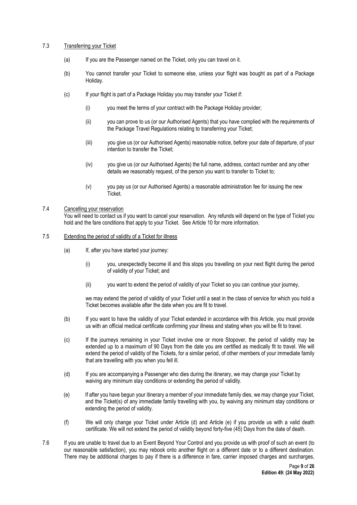# 7.3 Transferring your Ticket

- (a) If you are the Passenger named on the Ticket, only you can travel on it.
- (b) You cannot transfer your Ticket to someone else, unless your flight was bought as part of a Package Holiday.
- (c) If your flight is part of a Package Holiday you may transfer your Ticket if:
	- (i) you meet the terms of your contract with the Package Holiday provider;
	- (ii) you can prove to us (or our Authorised Agents) that you have complied with the requirements of the Package Travel Regulations relating to transferring your Ticket;
	- (iii) you give us (or our Authorised Agents) reasonable notice, before your date of departure, of your intention to transfer the Ticket;
	- (iv) you give us (or our Authorised Agents) the full name, address, contact number and any other details we reasonably request, of the person you want to transfer to Ticket to;
	- (v) you pay us (or our Authorised Agents) a reasonable administration fee for issuing the new Ticket.

# 7.4 Cancelling your reservation

You will need to contact us if you want to cancel your reservation. Any refunds will depend on the type of Ticket you hold and the fare conditions that apply to your Ticket. See Article 10 for more information.

#### 7.5 Extending the period of validity of a Ticket for illness

- (a) If, after you have started your journey:
	- (i) you, unexpectedly become ill and this stops you travelling on your next flight during the period of validity of your Ticket; and
	- (ii) you want to extend the period of validity of your Ticket so you can continue your journey,

we may extend the period of validity of your Ticket until a seat in the class of service for which you hold a Ticket becomes available after the date when you are fit to travel.

- (b) If you want to have the validity of your Ticket extended in accordance with this Article, you must provide us with an official medical certificate confirming your illness and stating when you will be fit to travel.
- (c) If the journeys remaining in your Ticket involve one or more Stopover, the period of validity may be extended up to a maximum of 90 Days from the date you are certified as medically fit to travel. We will extend the period of validity of the Tickets, for a similar period, of other members of your immediate family that are travelling with you when you fell ill.
- (d) If you are accompanying a Passenger who dies during the itinerary, we may change your Ticket by waiving any minimum stay conditions or extending the period of validity.
- (e) If after you have begun your itinerary a member of your immediate family dies, we may change your Ticket, and the Ticket(s) of any immediate family travelling with you, by waiving any minimum stay conditions or extending the period of validity.
- (f) We will only change your Ticket under Article (d) and Article (e) if you provide us with a valid death certificate. We will not extend the period of validity beyond forty-five (45) Days from the date of death.
- 7.6 If you are unable to travel due to an Event Beyond Your Control and you provide us with proof of such an event (to our reasonable satisfaction), you may rebook onto another flight on a different date or to a different destination. There may be additional charges to pay if there is a difference in fare, carrier imposed charges and surcharges,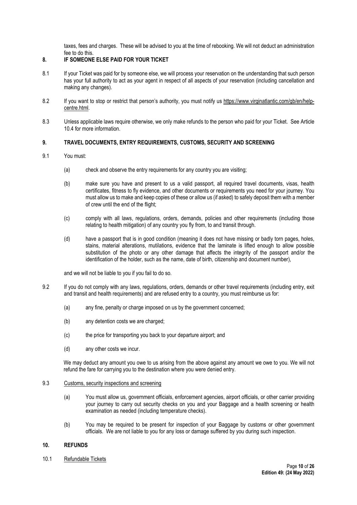taxes, fees and charges. These will be advised to you at the time of rebooking. We will not deduct an administration fee to do this.

# 8. IF SOMEONE ELSE PAID FOR YOUR TICKET

- 8.1 If your Ticket was paid for by someone else, we will process your reservation on the understanding that such person has your full authority to act as your agent in respect of all aspects of your reservation (including cancellation and making any changes).
- 8.2 If you want to stop or restrict that person's authority, you must notify us https://www.virginatlantic.com/gb/en/helpcentre.html.
- 8.3 Unless applicable laws require otherwise, we only make refunds to the person who paid for your Ticket. See Article 10.4 for more information.

# 9. TRAVEL DOCUMENTS, ENTRY REQUIREMENTS, CUSTOMS, SECURITY AND SCREENING

- 9.1 You must:
	- (a) check and observe the entry requirements for any country you are visiting;
	- (b) make sure you have and present to us a valid passport, all required travel documents, visas, health certificates, fitness to fly evidence, and other documents or requirements you need for your journey. You must allow us to make and keep copies of these or allow us (if asked) to safely deposit them with a member of crew until the end of the flight;
	- (c) comply with all laws, regulations, orders, demands, policies and other requirements (including those relating to health mitigation) of any country you fly from, to and transit through.
	- (d) have a passport that is in good condition (meaning it does not have missing or badly torn pages, holes, stains, material alterations, mutilations, evidence that the laminate is lifted enough to allow possible substitution of the photo or any other damage that affects the integrity of the passport and/or the identification of the holder, such as the name, date of birth, citizenship and document number),

and we will not be liable to you if you fail to do so.

- 9.2 If you do not comply with any laws, regulations, orders, demands or other travel requirements (including entry, exit and transit and health requirements) and are refused entry to a country, you must reimburse us for:
	- (a) any fine, penalty or charge imposed on us by the government concerned;
	- (b) any detention costs we are charged;
	- (c) the price for transporting you back to your departure airport; and
	- (d) any other costs we incur.

We may deduct any amount you owe to us arising from the above against any amount we owe to you. We will not refund the fare for carrying you to the destination where you were denied entry.

#### 9.3 Customs, security inspections and screening

- (a) You must allow us, government officials, enforcement agencies, airport officials, or other carrier providing your journey to carry out security checks on you and your Baggage and a health screening or health examination as needed (including temperature checks).
- (b) You may be required to be present for inspection of your Baggage by customs or other government officials. We are not liable to you for any loss or damage suffered by you during such inspection.

#### 10. REFUNDS

10.1 Refundable Tickets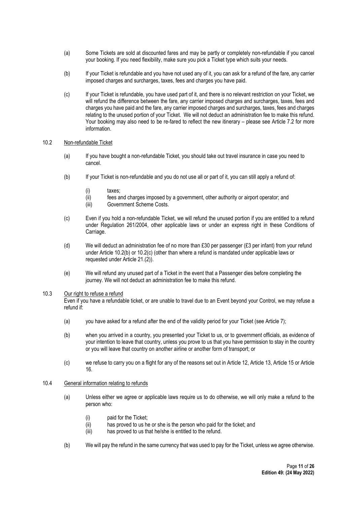- (a) Some Tickets are sold at discounted fares and may be partly or completely non-refundable if you cancel your booking. If you need flexibility, make sure you pick a Ticket type which suits your needs.
- (b) If your Ticket is refundable and you have not used any of it, you can ask for a refund of the fare, any carrier imposed charges and surcharges, taxes, fees and charges you have paid.
- (c) If your Ticket is refundable, you have used part of it, and there is no relevant restriction on your Ticket, we will refund the difference between the fare, any carrier imposed charges and surcharges, taxes, fees and charges you have paid and the fare, any carrier imposed charges and surcharges, taxes, fees and charges relating to the unused portion of your Ticket. We will not deduct an administration fee to make this refund. Your booking may also need to be re-fared to reflect the new itinerary – please see Article 7.2 for more information.

#### 10.2 Non-refundable Ticket

- (a) If you have bought a non-refundable Ticket, you should take out travel insurance in case you need to cancel.
- (b) If your Ticket is non-refundable and you do not use all or part of it, you can still apply a refund of:
	- (i) taxes;
	- (ii) fees and charges imposed by a government, other authority or airport operator; and
	- (iii) Government Scheme Costs.
- (c) Even if you hold a non-refundable Ticket, we will refund the unused portion if you are entitled to a refund under Regulation 261/2004, other applicable laws or under an express right in these Conditions of Carriage.
- (d) We will deduct an administration fee of no more than £30 per passenger (£3 per infant) from your refund under Article 10.2(b) or 10.2(c) (other than where a refund is mandated under applicable laws or requested under Article 21.(2)).
- (e) We will refund any unused part of a Ticket in the event that a Passenger dies before completing the journey. We will not deduct an administration fee to make this refund.

## 10.3 Our right to refuse a refund

Even if you have a refundable ticket, or are unable to travel due to an Event beyond your Control, we may refuse a refund if:

- (a) you have asked for a refund after the end of the validity period for your Ticket (see Article 7);
- (b) when you arrived in a country, you presented your Ticket to us, or to government officials, as evidence of your intention to leave that country, unless you prove to us that you have permission to stay in the country or you will leave that country on another airline or another form of transport; or
- (c) we refuse to carry you on a flight for any of the reasons set out in Article 12, Article 13, Article 15 or Article 16.

# 10.4 General information relating to refunds

- (a) Unless either we agree or applicable laws require us to do otherwise, we will only make a refund to the person who:
	- (i) paid for the Ticket:
	- (ii) has proved to us he or she is the person who paid for the ticket; and
	- (iii) has proved to us that he/she is entitled to the refund.
- (b) We will pay the refund in the same currency that was used to pay for the Ticket, unless we agree otherwise.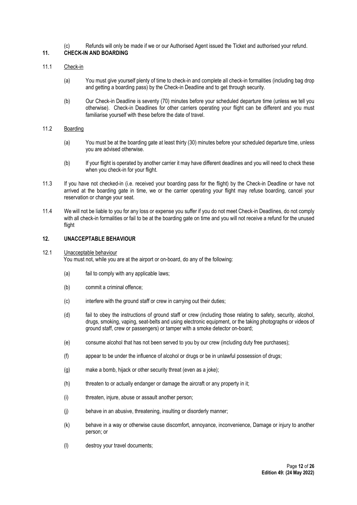(c) Refunds will only be made if we or our Authorised Agent issued the Ticket and authorised your refund.

# 11. CHECK-IN AND BOARDING

# 11.1 Check-in

- (a) You must give yourself plenty of time to check-in and complete all check-in formalities (including bag drop and getting a boarding pass) by the Check-in Deadline and to get through security.
- (b) Our Check-in Deadline is seventy (70) minutes before your scheduled departure time (unless we tell you otherwise). Check-in Deadlines for other carriers operating your flight can be different and you must familiarise yourself with these before the date of travel.

# 11.2 Boarding

- (a) You must be at the boarding gate at least thirty (30) minutes before your scheduled departure time, unless you are advised otherwise.
- (b) If your flight is operated by another carrier it may have different deadlines and you will need to check these when you check-in for your flight.
- 11.3 If you have not checked-in (i.e. received your boarding pass for the flight) by the Check-in Deadline or have not arrived at the boarding gate in time, we or the carrier operating your flight may refuse boarding, cancel your reservation or change your seat.
- 11.4 We will not be liable to you for any loss or expense you suffer if you do not meet Check-in Deadlines, do not comply with all check-in formalities or fail to be at the boarding gate on time and you will not receive a refund for the unused flight

#### 12. UNACCEPTABLE BEHAVIOUR

# 12.1 Unacceptable behaviour

You must not, while you are at the airport or on-board, do any of the following:

- (a) fail to comply with any applicable laws;
- (b) commit a criminal offence;
- (c) interfere with the ground staff or crew in carrying out their duties;
- (d) fail to obey the instructions of ground staff or crew (including those relating to safety, security, alcohol, drugs, smoking, vaping, seat-belts and using electronic equipment, or the taking photographs or videos of ground staff, crew or passengers) or tamper with a smoke detector on-board;
- (e) consume alcohol that has not been served to you by our crew (including duty free purchases);
- (f) appear to be under the influence of alcohol or drugs or be in unlawful possession of drugs;
- (g) make a bomb, hijack or other security threat (even as a joke);
- (h) threaten to or actually endanger or damage the aircraft or any property in it;
- (i) threaten, injure, abuse or assault another person;
- (j) behave in an abusive, threatening, insulting or disorderly manner;
- (k) behave in a way or otherwise cause discomfort, annoyance, inconvenience, Damage or injury to another person; or
- (l) destroy your travel documents;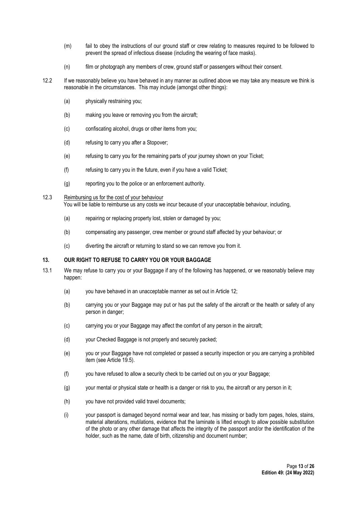- (m) fail to obey the instructions of our ground staff or crew relating to measures required to be followed to prevent the spread of infectious disease (including the wearing of face masks).
- (n) film or photograph any members of crew, ground staff or passengers without their consent.
- 12.2 If we reasonably believe you have behaved in any manner as outlined above we may take any measure we think is reasonable in the circumstances. This may include (amongst other things):
	- (a) physically restraining you;
	- (b) making you leave or removing you from the aircraft;
	- (c) confiscating alcohol, drugs or other items from you;
	- (d) refusing to carry you after a Stopover;
	- (e) refusing to carry you for the remaining parts of your journey shown on your Ticket;
	- (f) refusing to carry you in the future, even if you have a valid Ticket;
	- (g) reporting you to the police or an enforcement authority.
- 12.3 Reimbursing us for the cost of your behaviour You will be liable to reimburse us any costs we incur because of your unacceptable behaviour, including,
	- (a) repairing or replacing property lost, stolen or damaged by you;
	- (b) compensating any passenger, crew member or ground staff affected by your behaviour; or
	- (c) diverting the aircraft or returning to stand so we can remove you from it.

# 13. OUR RIGHT TO REFUSE TO CARRY YOU OR YOUR BAGGAGE

- 13.1 We may refuse to carry you or your Baggage if any of the following has happened, or we reasonably believe may happen:
	- (a) you have behaved in an unacceptable manner as set out in Article 12;
	- (b) carrying you or your Baggage may put or has put the safety of the aircraft or the health or safety of any person in danger;
	- (c) carrying you or your Baggage may affect the comfort of any person in the aircraft;
	- (d) your Checked Baggage is not properly and securely packed;
	- (e) you or your Baggage have not completed or passed a security inspection or you are carrying a prohibited item (see Article 19.5).
	- (f) you have refused to allow a security check to be carried out on you or your Baggage;
	- (g) your mental or physical state or health is a danger or risk to you, the aircraft or any person in it;
	- (h) you have not provided valid travel documents;
	- (i) your passport is damaged beyond normal wear and tear, has missing or badly torn pages, holes, stains, material alterations, mutilations, evidence that the laminate is lifted enough to allow possible substitution of the photo or any other damage that affects the integrity of the passport and/or the identification of the holder, such as the name, date of birth, citizenship and document number;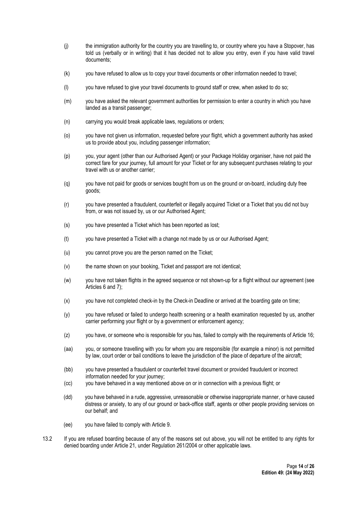- (j) the immigration authority for the country you are travelling to, or country where you have a Stopover, has told us (verbally or in writing) that it has decided not to allow you entry, even if you have valid travel documents;
- (k) you have refused to allow us to copy your travel documents or other information needed to travel;
- (l) you have refused to give your travel documents to ground staff or crew, when asked to do so;
- (m) you have asked the relevant government authorities for permission to enter a country in which you have landed as a transit passenger;
- (n) carrying you would break applicable laws, regulations or orders;
- (o) you have not given us information, requested before your flight, which a government authority has asked us to provide about you, including passenger information;
- (p) you, your agent (other than our Authorised Agent) or your Package Holiday organiser, have not paid the correct fare for your journey, full amount for your Ticket or for any subsequent purchases relating to your travel with us or another carrier;
- (q) you have not paid for goods or services bought from us on the ground or on-board, including duty free goods;
- (r) you have presented a fraudulent, counterfeit or illegally acquired Ticket or a Ticket that you did not buy from, or was not issued by, us or our Authorised Agent;
- (s) you have presented a Ticket which has been reported as lost;
- (t) you have presented a Ticket with a change not made by us or our Authorised Agent;
- (u) you cannot prove you are the person named on the Ticket;
- (v) the name shown on your booking, Ticket and passport are not identical;
- (w) you have not taken flights in the agreed sequence or not shown-up for a flight without our agreement (see Articles 6 and 7);
- (x) you have not completed check-in by the Check-in Deadline or arrived at the boarding gate on time;
- (y) you have refused or failed to undergo health screening or a health examination requested by us, another carrier performing your flight or by a government or enforcement agency;
- (z) you have, or someone who is responsible for you has, failed to comply with the requirements of Article 16;
- (aa) you, or someone travelling with you for whom you are responsible (for example a minor) is not permitted by law, court order or bail conditions to leave the jurisdiction of the place of departure of the aircraft;
- (bb) you have presented a fraudulent or counterfeit travel document or provided fraudulent or incorrect information needed for your journey;
- (cc) you have behaved in a way mentioned above on or in connection with a previous flight; or
- (dd) you have behaved in a rude, aggressive, unreasonable or otherwise inappropriate manner, or have caused distress or anxiety, to any of our ground or back-office staff, agents or other people providing services on our behalf; and
- (ee) you have failed to comply with Article 9.
- 13.2 If you are refused boarding because of any of the reasons set out above, you will not be entitled to any rights for denied boarding under Article 21, under Regulation 261/2004 or other applicable laws.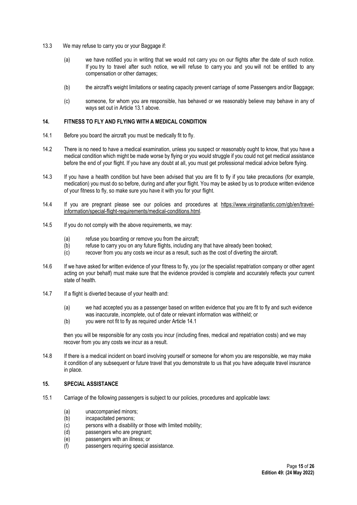- 13.3 We may refuse to carry you or your Baggage if:
	- (a) we have notified you in writing that we would not carry you on our flights after the date of such notice. If you try to travel after such notice, we will refuse to carry you and you will not be entitled to any compensation or other damages;
	- (b) the aircraft's weight limitations or seating capacity prevent carriage of some Passengers and/or Baggage;
	- (c) someone, for whom you are responsible, has behaved or we reasonably believe may behave in any of ways set out in Article 13.1 above.

#### 14. FITNESS TO FLY AND FLYING WITH A MEDICAL CONDITION

- 14.1 Before you board the aircraft you must be medically fit to fly.
- 14.2 There is no need to have a medical examination, unless you suspect or reasonably ought to know, that you have a medical condition which might be made worse by flying or you would struggle if you could not get medical assistance before the end of your flight. If you have any doubt at all, you must get professional medical advice before flying.
- 14.3 If you have a health condition but have been advised that you are fit to fly if you take precautions (for example, medication) you must do so before, during and after your flight. You may be asked by us to produce written evidence of your fitness to fly, so make sure you have it with you for your flight.
- 14.4 If you are pregnant please see our policies and procedures at https://www.virginatlantic.com/gb/en/travelinformation/special-flight-requirements/medical-conditions.html.
- 14.5 If you do not comply with the above requirements, we may:
	- (a) refuse you boarding or remove you from the aircraft;
	- (b) refuse to carry you on any future flights, including any that have already been booked;
	- (c) recover from you any costs we incur as a result, such as the cost of diverting the aircraft.
- 14.6 If we have asked for written evidence of your fitness to fly, you (or the specialist repatriation company or other agent acting on your behalf) must make sure that the evidence provided is complete and accurately reflects your current state of health.
- 14.7 If a flight is diverted because of your health and:
	- (a) we had accepted you as a passenger based on written evidence that you are fit to fly and such evidence was inaccurate, incomplete, out of date or relevant information was withheld; or
	- (b) you were not fit to fly as required under Article 14.1

then you will be responsible for any costs you incur (including fines, medical and repatriation costs) and we may recover from you any costs we incur as a result.

14.8 If there is a medical incident on board involving yourself or someone for whom you are responsible, we may make it condition of any subsequent or future travel that you demonstrate to us that you have adequate travel insurance in place.

# 15. SPECIAL ASSISTANCE

- 15.1 Carriage of the following passengers is subject to our policies, procedures and applicable laws:
	- (a) unaccompanied minors;
	- (b) incapacitated persons;
	- (c) persons with a disability or those with limited mobility;
	- (d) passengers who are pregnant;
	- (e) passengers with an illness; or
	- (f) passengers requiring special assistance.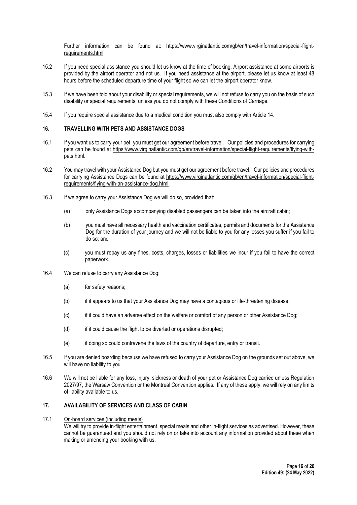Further information can be found at: https://www.virginatlantic.com/gb/en/travel-information/special-flightrequirements.html.

- 15.2 If you need special assistance you should let us know at the time of booking. Airport assistance at some airports is provided by the airport operator and not us. If you need assistance at the airport, please let us know at least 48 hours before the scheduled departure time of your flight so we can let the airport operator know.
- 15.3 If we have been told about your disability or special requirements, we will not refuse to carry you on the basis of such disability or special requirements, unless you do not comply with these Conditions of Carriage.
- 15.4 If you require special assistance due to a medical condition you must also comply with Article 14.

#### 16. TRAVELLING WITH PETS AND ASSISTANCE DOGS

- 16.1 If you want us to carry your pet, you must get our agreement before travel. Our policies and procedures for carrying pets can be found at https://www.virginatlantic.com/gb/en/travel-information/special-flight-requirements/flying-withpets.html.
- 16.2 You may travel with your Assistance Dog but you must get our agreement before travel. Our policies and procedures for carrying Assistance Dogs can be found at https://www.virginatlantic.com/gb/en/travel-information/special-flightrequirements/flying-with-an-assistance-dog.html.
- 16.3 If we agree to carry your Assistance Dog we will do so, provided that:
	- (a) only Assistance Dogs accompanying disabled passengers can be taken into the aircraft cabin;
	- (b) you must have all necessary health and vaccination certificates, permits and documents for the Assistance Dog for the duration of your journey and we will not be liable to you for any losses you suffer if you fail to do so; and
	- (c) you must repay us any fines, costs, charges, losses or liabilities we incur if you fail to have the correct paperwork.
- 16.4 We can refuse to carry any Assistance Dog:
	- (a) for safety reasons;
	- (b) if it appears to us that your Assistance Dog may have a contagious or life-threatening disease;
	- (c) if it could have an adverse effect on the welfare or comfort of any person or other Assistance Dog;
	- (d) if it could cause the flight to be diverted or operations disrupted;
	- (e) if doing so could contravene the laws of the country of departure, entry or transit.
- 16.5 If you are denied boarding because we have refused to carry your Assistance Dog on the grounds set out above, we will have no liability to you.
- 16.6 We will not be liable for any loss, injury, sickness or death of your pet or Assistance Dog carried unless Regulation 2027/97, the Warsaw Convention or the Montreal Convention applies. If any of these apply, we will rely on any limits of liability available to us.

# 17. AVAILABILITY OF SERVICES AND CLASS OF CABIN

17.1 On-board services (including meals)

We will try to provide in-flight entertainment, special meals and other in-flight services as advertised. However, these cannot be guaranteed and you should not rely on or take into account any information provided about these when making or amending your booking with us.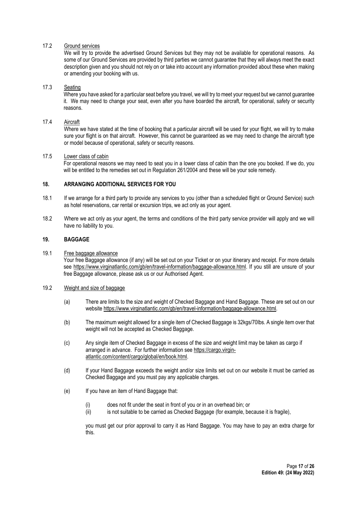# 17.2 Ground services

We will try to provide the advertised Ground Services but they may not be available for operational reasons. As some of our Ground Services are provided by third parties we cannot guarantee that they will always meet the exact description given and you should not rely on or take into account any information provided about these when making or amending your booking with us.

## 17.3 Seating

Where you have asked for a particular seat before you travel, we will try to meet your request but we cannot quarantee it. We may need to change your seat, even after you have boarded the aircraft, for operational, safety or security reasons.

#### 17.4 Aircraft

Where we have stated at the time of booking that a particular aircraft will be used for your flight, we will try to make sure your flight is on that aircraft. However, this cannot be guaranteed as we may need to change the aircraft type or model because of operational, safety or security reasons.

#### 17.5 Lower class of cabin

For operational reasons we may need to seat you in a lower class of cabin than the one you booked. If we do, you will be entitled to the remedies set out in Regulation 261/2004 and these will be your sole remedy.

# 18. ARRANGING ADDITIONAL SERVICES FOR YOU

- 18.1 If we arrange for a third party to provide any services to you (other than a scheduled flight or Ground Service) such as hotel reservations, car rental or excursion trips, we act only as your agent.
- 18.2 Where we act only as your agent, the terms and conditions of the third party service provider will apply and we will have no liability to you.

# 19. BAGGAGE

19.1 Free baggage allowance Your free Baggage allowance (if any) will be set out on your Ticket or on your itinerary and receipt. For more details see https://www.virginatlantic.com/gb/en/travel-information/baggage-allowance.html. If you still are unsure of your free Baggage allowance, please ask us or our Authorised Agent.

#### 19.2 Weight and size of baggage

- (a) There are limits to the size and weight of Checked Baggage and Hand Baggage. These are set out on our website https://www.virginatlantic.com/gb/en/travel-information/baggage-allowance.html.
- (b) The maximum weight allowed for a single item of Checked Baggage is 32kgs/70lbs. A single item over that weight will not be accepted as Checked Baggage.
- (c) Any single item of Checked Baggage in excess of the size and weight limit may be taken as cargo if arranged in advance. For further information see https://cargo.virginatlantic.com/content/cargo/global/en/book.html.
- (d) If your Hand Baggage exceeds the weight and/or size limits set out on our website it must be carried as Checked Baggage and you must pay any applicable charges.
- (e) If you have an item of Hand Baggage that:
	- (i) does not fit under the seat in front of you or in an overhead bin; or
	- $(iii)$  is not suitable to be carried as Checked Baggage (for example, because it is fragile),

you must get our prior approval to carry it as Hand Baggage. You may have to pay an extra charge for this.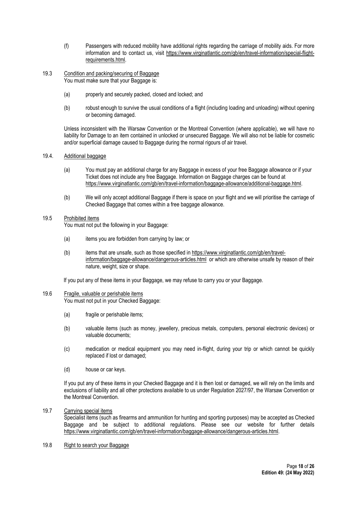- (f) Passengers with reduced mobility have additional rights regarding the carriage of mobility aids. For more information and to contact us, visit https://www.virginatlantic.com/gb/en/travel-information/special-flightrequirements.html.
- 19.3 Condition and packing/securing of Baggage You must make sure that your Baggage is:
	- (a) properly and securely packed, closed and locked; and
	- (b) robust enough to survive the usual conditions of a flight (including loading and unloading) without opening or becoming damaged.

Unless inconsistent with the Warsaw Convention or the Montreal Convention (where applicable), we will have no liability for Damage to an item contained in unlocked or unsecured Baggage. We will also not be liable for cosmetic and/or superficial damage caused to Baggage during the normal rigours of air travel.

# 19.4. Additional baggage

- (a) You must pay an additional charge for any Baggage in excess of your free Baggage allowance or if your Ticket does not include any free Baggage. Information on Baggage charges can be found at https://www.virginatlantic.com/gb/en/travel-information/baggage-allowance/additional-baggage.html.
- (b) We will only accept additional Baggage if there is space on your flight and we will prioritise the carriage of Checked Baggage that comes within a free baggage allowance.

## 19.5 Prohibited items

You must not put the following in your Baggage:

- (a) items you are forbidden from carrying by law; or
- (b) items that are unsafe, such as those specified in https://www.virginatlantic.com/gb/en/travelinformation/baggage-allowance/dangerous-articles.html or which are otherwise unsafe by reason of their nature, weight, size or shape.

If you put any of these items in your Baggage, we may refuse to carry you or your Baggage.

#### 19.6 Fragile, valuable or perishable items

You must not put in your Checked Baggage:

- (a) fragile or perishable items;
- (b) valuable items (such as money, jewellery, precious metals, computers, personal electronic devices) or valuable documents;
- (c) medication or medical equipment you may need in-flight, during your trip or which cannot be quickly replaced if lost or damaged;
- (d) house or car keys.

If you put any of these items in your Checked Baggage and it is then lost or damaged, we will rely on the limits and exclusions of liability and all other protections available to us under Regulation 2027/97, the Warsaw Convention or the Montreal Convention.

## 19.7 Carrying special items

Specialist items (such as firearms and ammunition for hunting and sporting purposes) may be accepted as Checked Baggage and be subject to additional regulations. Please see our website for further details https://www.virginatlantic.com/gb/en/travel-information/baggage-allowance/dangerous-articles.html.

# 19.8 Right to search your Baggage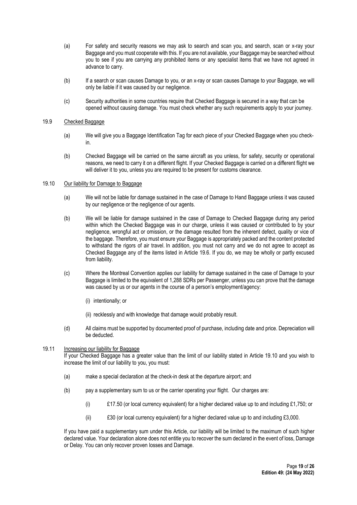- (a) For safety and security reasons we may ask to search and scan you, and search, scan or x-ray your Baggage and you must cooperate with this. If you are not available, your Baggage may be searched without you to see if you are carrying any prohibited items or any specialist items that we have not agreed in advance to carry.
- (b) If a search or scan causes Damage to you, or an x-ray or scan causes Damage to your Baggage, we will only be liable if it was caused by our negligence.
- (c) Security authorities in some countries require that Checked Baggage is secured in a way that can be opened without causing damage. You must check whether any such requirements apply to your journey.

# 19.9 Checked Baggage

- (a) We will give you a Baggage Identification Tag for each piece of your Checked Baggage when you checkin.
- (b) Checked Baggage will be carried on the same aircraft as you unless, for safety, security or operational reasons, we need to carry it on a different flight. If your Checked Baggage is carried on a different flight we will deliver it to you, unless you are required to be present for customs clearance.

#### 19.10 Our liability for Damage to Baggage

- (a) We will not be liable for damage sustained in the case of Damage to Hand Baggage unless it was caused by our negligence or the negligence of our agents.
- (b) We will be liable for damage sustained in the case of Damage to Checked Baggage during any period within which the Checked Baggage was in our charge, unless it was caused or contributed to by your negligence, wrongful act or omission, or the damage resulted from the inherent defect, quality or vice of the baggage. Therefore, you must ensure your Baggage is appropriately packed and the content protected to withstand the rigors of air travel. In addition, you must not carry and we do not agree to accept as Checked Baggage any of the items listed in Article 19.6. If you do, we may be wholly or partly excused from liability.
- (c) Where the Montreal Convention applies our liability for damage sustained in the case of Damage to your Baggage is limited to the equivalent of 1,288 SDRs per Passenger, unless you can prove that the damage was caused by us or our agents in the course of a person's employment/agency:
	- (i) intentionally; or
	- (ii) recklessly and with knowledge that damage would probably result.
- (d) All claims must be supported by documented proof of purchase, including date and price. Depreciation will be deducted.

## 19.11 Increasing our liability for Baggage

If your Checked Baggage has a greater value than the limit of our liability stated in Article 19.10 and you wish to increase the limit of our liability to you, you must:

- (a) make a special declaration at the check-in desk at the departure airport; and
- (b) pay a supplementary sum to us or the carrier operating your flight. Our charges are:
	- (i)  $£17.50$  (or local currency equivalent) for a higher declared value up to and including £1,750; or
	- (ii) £30 (or local currency equivalent) for a higher declared value up to and including £3,000.

If you have paid a supplementary sum under this Article, our liability will be limited to the maximum of such higher declared value. Your declaration alone does not entitle you to recover the sum declared in the event of loss, Damage or Delay. You can only recover proven losses and Damage.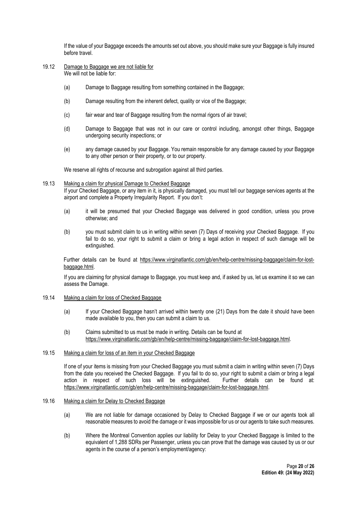If the value of your Baggage exceeds the amounts set out above, you should make sure your Baggage is fully insured before travel.

- 19.12 Damage to Baggage we are not liable for We will not be liable for:
	- (a) Damage to Baggage resulting from something contained in the Baggage;
	- (b) Damage resulting from the inherent defect, quality or vice of the Baggage;
	- (c) fair wear and tear of Baggage resulting from the normal rigors of air travel;
	- (d) Damage to Baggage that was not in our care or control including, amongst other things, Baggage undergoing security inspections; or
	- (e) any damage caused by your Baggage. You remain responsible for any damage caused by your Baggage to any other person or their property, or to our property.

We reserve all rights of recourse and subrogation against all third parties.

#### 19.13 Making a claim for physical Damage to Checked Baggage

If your Checked Baggage, or any item in it, is physically damaged, you must tell our baggage services agents at the airport and complete a Property Irregularity Report. If you don't:

- (a) it will be presumed that your Checked Baggage was delivered in good condition, unless you prove otherwise; and
- (b) you must submit claim to us in writing within seven (7) Days of receiving your Checked Baggage. If you fail to do so, your right to submit a claim or bring a legal action in respect of such damage will be extinguished.

Further details can be found at https://www.virginatlantic.com/gb/en/help-centre/missing-baggage/claim-for-lostbaggage.html.

If you are claiming for physical damage to Baggage, you must keep and, if asked by us, let us examine it so we can assess the Damage.

#### 19.14 Making a claim for loss of Checked Baggage

- (a) If your Checked Baggage hasn't arrived within twenty one (21) Days from the date it should have been made available to you, then you can submit a claim to us.
- (b) Claims submitted to us must be made in writing. Details can be found at https://www.virginatlantic.com/gb/en/help-centre/missing-baggage/claim-for-lost-baggage.html.

# 19.15 Making a claim for loss of an item in your Checked Baggage

If one of your items is missing from your Checked Baggage you must submit a claim in writing within seven (7) Days from the date you received the Checked Baggage. If you fail to do so, your right to submit a claim or bring a legal action in respect of such loss will be extinguished. Further details can be found at: https://www.virginatlantic.com/gb/en/help-centre/missing-baggage/claim-for-lost-baggage.html.

#### 19.16 Making a claim for Delay to Checked Baggage

- (a) We are not liable for damage occasioned by Delay to Checked Baggage if we or our agents took all reasonable measures to avoid the damage or it was impossible for us or our agents to take such measures.
- (b) Where the Montreal Convention applies our liability for Delay to your Checked Baggage is limited to the equivalent of 1,288 SDRs per Passenger, unless you can prove that the damage was caused by us or our agents in the course of a person's employment/agency: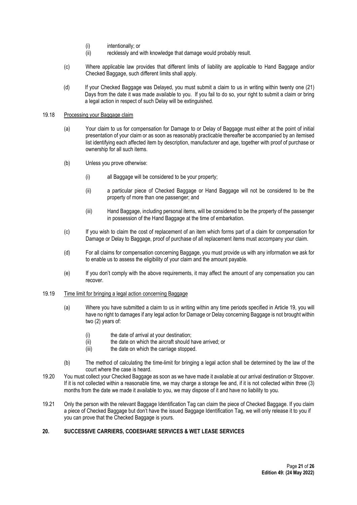- (i) intentionally; or
- (ii) recklessly and with knowledge that damage would probably result.
- (c) Where applicable law provides that different limits of liability are applicable to Hand Baggage and/or Checked Baggage, such different limits shall apply.
- (d) If your Checked Baggage was Delayed, you must submit a claim to us in writing within twenty one (21) Days from the date it was made available to you. If you fail to do so, your right to submit a claim or bring a legal action in respect of such Delay will be extinguished.

# 19.18 Processing your Baggage claim

- (a) Your claim to us for compensation for Damage to or Delay of Baggage must either at the point of initial presentation of your claim or as soon as reasonably practicable thereafter be accompanied by an itemised list identifying each affected item by description, manufacturer and age, together with proof of purchase or ownership for all such items.
- (b) Unless you prove otherwise:
	- (i) all Baggage will be considered to be your property;
	- (ii) a particular piece of Checked Baggage or Hand Baggage will not be considered to be the property of more than one passenger; and
	- (iii) Hand Baggage, including personal items, will be considered to be the property of the passenger in possession of the Hand Baggage at the time of embarkation.
- (c) If you wish to claim the cost of replacement of an item which forms part of a claim for compensation for Damage or Delay to Baggage, proof of purchase of all replacement items must accompany your claim.
- (d) For all claims for compensation concerning Baggage, you must provide us with any information we ask for to enable us to assess the eligibility of your claim and the amount payable.
- (e) If you don't comply with the above requirements, it may affect the amount of any compensation you can recover.
- 19.19 Time limit for bringing a legal action concerning Baggage
	- (a) Where you have submitted a claim to us in writing within any time periods specified in Article 19, you will have no right to damages if any legal action for Damage or Delay concerning Baggage is not brought within two (2) years of:
		- (i) the date of arrival at your destination;
		- (ii) the date on which the aircraft should have arrived; or
		- (iii) the date on which the carriage stopped.
	- (b) The method of calculating the time-limit for bringing a legal action shall be determined by the law of the court where the case is heard.
- 19.20 You must collect your Checked Baggage as soon as we have made it available at our arrival destination or Stopover. If it is not collected within a reasonable time, we may charge a storage fee and, if it is not collected within three (3) months from the date we made it available to you, we may dispose of it and have no liability to you.
- 19.21 Only the person with the relevant Baggage Identification Tag can claim the piece of Checked Baggage. If you claim a piece of Checked Baggage but don't have the issued Baggage Identification Tag, we will only release it to you if you can prove that the Checked Baggage is yours.

## 20. SUCCESSIVE CARRIERS, CODESHARE SERVICES & WET LEASE SERVICES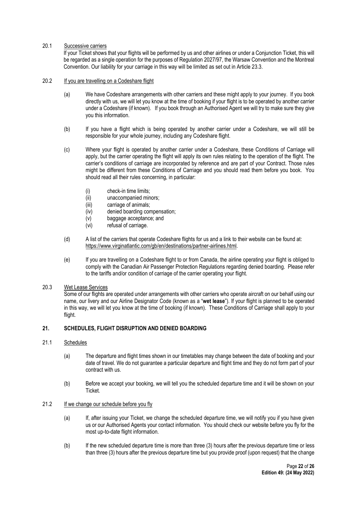# 20.1 Successive carriers

If your Ticket shows that your flights will be performed by us and other airlines or under a Conjunction Ticket, this will be regarded as a single operation for the purposes of Regulation 2027/97, the Warsaw Convention and the Montreal Convention. Our liability for your carriage in this way will be limited as set out in Article 23.3.

## 20.2 If you are travelling on a Codeshare flight

- (a) We have Codeshare arrangements with other carriers and these might apply to your journey. If you book directly with us, we will let you know at the time of booking if your flight is to be operated by another carrier under a Codeshare (if known). If you book through an Authorised Agent we will try to make sure they give you this information.
- (b) If you have a flight which is being operated by another carrier under a Codeshare, we will still be responsible for your whole journey, including any Codeshare flight.
- (c) Where your flight is operated by another carrier under a Codeshare, these Conditions of Carriage will apply, but the carrier operating the flight will apply its own rules relating to the operation of the flight. The carrier's conditions of carriage are incorporated by reference and are part of your Contract. Those rules might be different from these Conditions of Carriage and you should read them before you book. You should read all their rules concerning, in particular:
	- (i) check-in time limits;
	- (ii) unaccompanied minors;
	- (iii) carriage of animals;
	- (iv) denied boarding compensation;
	- (v) baggage acceptance; and
	- (vi) refusal of carriage.
- (d) A list of the carriers that operate Codeshare flights for us and a link to their website can be found at: https://www.virginatlantic.com/gb/en/destinations/partner-airlines.html.
- (e) If you are travelling on a Codeshare flight to or from Canada, the airline operating your flight is obliged to comply with the Canadian Air Passenger Protection Regulations regarding denied boarding. Please refer to the tariffs and/or condition of carriage of the carrier operating your flight.

# 20.3 Wet Lease Services

Some of our flights are operated under arrangements with other carriers who operate aircraft on our behalf using our name, our livery and our Airline Designator Code (known as a "wet lease"). If your flight is planned to be operated in this way, we will let you know at the time of booking (if known). These Conditions of Carriage shall apply to your flight.

## 21. SCHEDULES, FLIGHT DISRUPTION AND DENIED BOARDING

#### 21.1 Schedules

- (a) The departure and flight times shown in our timetables may change between the date of booking and your date of travel. We do not guarantee a particular departure and flight time and they do not form part of your contract with us.
- (b) Before we accept your booking, we will tell you the scheduled departure time and it will be shown on your Ticket.

# 21.2 If we change our schedule before you fly

- (a) If, after issuing your Ticket, we change the scheduled departure time, we will notify you if you have given us or our Authorised Agents your contact information. You should check our website before you fly for the most up-to-date flight information.
- (b) If the new scheduled departure time is more than three (3) hours after the previous departure time or less than three (3) hours after the previous departure time but you provide proof (upon request) that the change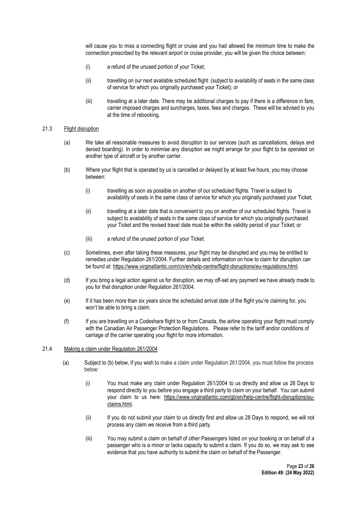will cause you to miss a connecting flight or cruise and you had allowed the minimum time to make the connection prescribed by the relevant airport or cruise provider, you will be given the choice between:

- (i) a refund of the unused portion of your Ticket;
- (ii) travelling on our next available scheduled flight (subject to availability of seats in the same class of service for which you originally purchased your Ticket); or
- (iii) travelling at a later date. There may be additional charges to pay if there is a difference in fare, carrier imposed charges and surcharges, taxes, fees and charges. These will be advised to you at the time of rebooking.

## 21.3 Flight disruption

- (a) We take all reasonable measures to avoid disruption to our services (such as cancellations, delays and denied boarding). In order to minimise any disruption we might arrange for your flight to be operated on another type of aircraft or by another carrier.
- (b) Where your flight that is operated by us is cancelled or delayed by at least five hours, you may choose between:
	- (i) travelling as soon as possible on another of our scheduled flights. Travel is subject to availability of seats in the same class of service for which you originally purchased your Ticket;
	- (ii) travelling at a later date that is convenient to you on another of our scheduled flights. Travel is subject to availability of seats in the same class of service for which you originally purchased your Ticket and the revised travel date must be within the validity period of your Ticket; or
	- (iii) a refund of the unused portion of your Ticket.
- (c) Sometimes, even after taking these measures, your flight may be disrupted and you may be entitled to remedies under Regulation 261/2004. Further details and information on how to claim for disruption can be found at: https://www.virginatlantic.com/cn/en/help-centre/flight-disruptions/eu-regulations.html.
- (d) If you bring a legal action against us for disruption, we may off-set any payment we have already made to you for that disruption under Regulation 261/2004.
- (e) If it has been more than six years since the scheduled arrival date of the flight you're claiming for, you won't be able to bring a claim.
- (f) If you are travelling on a Codeshare flight to or from Canada, the airline operating your flight must comply with the Canadian Air Passenger Protection Regulations. Please refer to the tariff and/or conditions of carriage of the carrier operating your flight for more information.

#### 21.4 Making a claim under Regulation 261/2004

- (a) Subject to (b) below, if you wish to make a claim under Regulation 261/2004, you must follow the process below:
	- (i) You must make any claim under Regulation 261/2004 to us directly and allow us 28 Days to respond directly to you before you engage a third party to claim on your behalf. You can submit your claim to us here: https://www.virginatlantic.com/gb/en/help-centre/flight-disruptions/euclaims.html.
	- (ii) If you do not submit your claim to us directly first and allow us 28 Days to respond, we will not process any claim we receive from a third party.
	- (iii) You may submit a claim on behalf of other Passengers listed on your booking or on behalf of a passenger who is a minor or lacks capacity to submit a claim. If you do so, we may ask to see evidence that you have authority to submit the claim on behalf of the Passenger.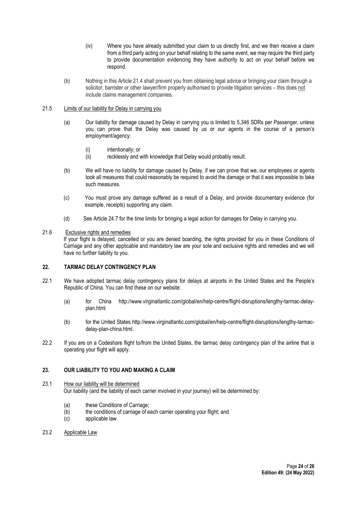- (iv) Where you have already submitted your claim to us directly first, and we then receive a claim from a third party acting on your behalf relating to the same event, we may require the third party to provide documentation evidencing they have authority to act on your behalf before we respond.
- (b) Nothing in this Article 21.4 shall prevent you from obtaining legal advice or bringing your claim through a solicitor, barrister or other lawyer/firm properly authorised to provide litigation services – this does not include claims management companies.

## 21.5 Limits of our liability for Delay in carrying you

- (a) Our liability for damage caused by Delay in carrying you is limited to 5,346 SDRs per Passenger, unless you can prove that the Delay was caused by us or our agents in the course of a person's employment/agency:
	- (i) intentionally; or
	- (ii) recklessly and with knowledge that Delay would probably result.
- (b) We will have no liability for damage caused by Delay, if we can prove that we, our employees or agents took all measures that could reasonably be required to avoid the damage or that it was impossible to take such measures.
- (c) You must prove any damage suffered as a result of a Delay, and provide documentary evidence (for example, receipts) supporting any claim.
- (d) See Article 24.7 for the time limits for bringing a legal action for damages for Delay in carrying you.

# 21.6 Exclusive rights and remedies

If your flight is delayed, cancelled or you are denied boarding, the rights provided for you in these Conditions of Carriage and any other applicable and mandatory law are your sole and exclusive rights and remedies and we will have no further liability to you.

# 22. TARMAC DELAY CONTINGENCY PLAN

- 22.1 We have adopted tarmac delay contingency plans for delays at airports in the United States and the People's Republic of China. You can find these on our website:
	- (a) for China http://www.virginatlantic.com/global/en/help-centre/flight-disruptions/lengthy-tarmac-delayplan.html
	- (b) for the United States http://www.virginatlantic.com/global/en/help-centre/flight-disruptions/lengthy-tarmacdelay-plan-china.html.
- 22.2 If you are on a Codeshare flight to/from the United States, the tarmac delay contingency plan of the airline that is operating your flight will apply.

# 23. OUR LIABILITY TO YOU AND MAKING A CLAIM

## 23.1 How our liability will be determined Our liability (and the liability of each carrier involved in your journey) will be determined by:

- (a) these Conditions of Carriage;
- (b) the conditions of carriage of each carrier operating your flight; and
- (c) applicable law.
- 23.2 Applicable Law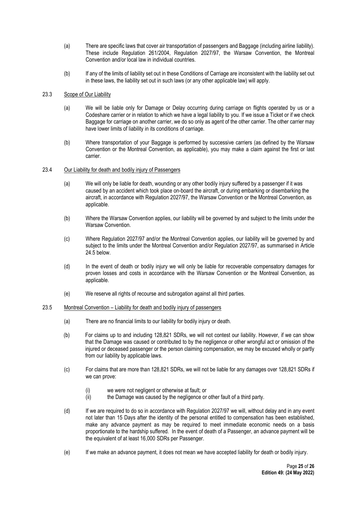- (a) There are specific laws that cover air transportation of passengers and Baggage (including airline liability). These include Regulation 261/2004, Regulation 2027/97, the Warsaw Convention, the Montreal Convention and/or local law in individual countries.
- (b) If any of the limits of liability set out in these Conditions of Carriage are inconsistent with the liability set out in these laws, the liability set out in such laws (or any other applicable law) will apply.

## 23.3 Scope of Our Liability

- (a) We will be liable only for Damage or Delay occurring during carriage on flights operated by us or a Codeshare carrier or in relation to which we have a legal liability to you. If we issue a Ticket or if we check Baggage for carriage on another carrier, we do so only as agent of the other carrier. The other carrier may have lower limits of liability in its conditions of carriage.
- (b) Where transportation of your Baggage is performed by successive carriers (as defined by the Warsaw Convention or the Montreal Convention, as applicable), you may make a claim against the first or last carrier.

#### 23.4 Our Liability for death and bodily injury of Passengers

- (a) We will only be liable for death, wounding or any other bodily injury suffered by a passenger if it was caused by an accident which took place on-board the aircraft, or during embarking or disembarking the aircraft, in accordance with Regulation 2027/97, the Warsaw Convention or the Montreal Convention, as applicable.
- (b) Where the Warsaw Convention applies, our liability will be governed by and subject to the limits under the Warsaw Convention.
- (c) Where Regulation 2027/97 and/or the Montreal Convention applies, our liability will be governed by and subject to the limits under the Montreal Convention and/or Regulation 2027/97, as summarised in Article 24.5 below.
- (d) In the event of death or bodily injury we will only be liable for recoverable compensatory damages for proven losses and costs in accordance with the Warsaw Convention or the Montreal Convention, as applicable.
- (e) We reserve all rights of recourse and subrogation against all third parties.

#### 23.5 Montreal Convention – Liability for death and bodily injury of passengers

- (a) There are no financial limits to our liability for bodily injury or death.
- (b) For claims up to and including 128,821 SDRs, we will not contest our liability. However, if we can show that the Damage was caused or contributed to by the negligence or other wrongful act or omission of the injured or deceased passenger or the person claiming compensation, we may be excused wholly or partly from our liability by applicable laws.
- (c) For claims that are more than 128,821 SDRs, we will not be liable for any damages over 128,821 SDRs if we can prove:
	- (i) we were not negligent or otherwise at fault; or
	- (ii) the Damage was caused by the negligence or other fault of a third party.
- (d) If we are required to do so in accordance with Regulation 2027/97 we will, without delay and in any event not later than 15 Days after the identity of the personal entitled to compensation has been established, make any advance payment as may be required to meet immediate economic needs on a basis proportionate to the hardship suffered. In the event of death of a Passenger, an advance payment will be the equivalent of at least 16,000 SDRs per Passenger.
- (e) If we make an advance payment, it does not mean we have accepted liability for death or bodily injury.